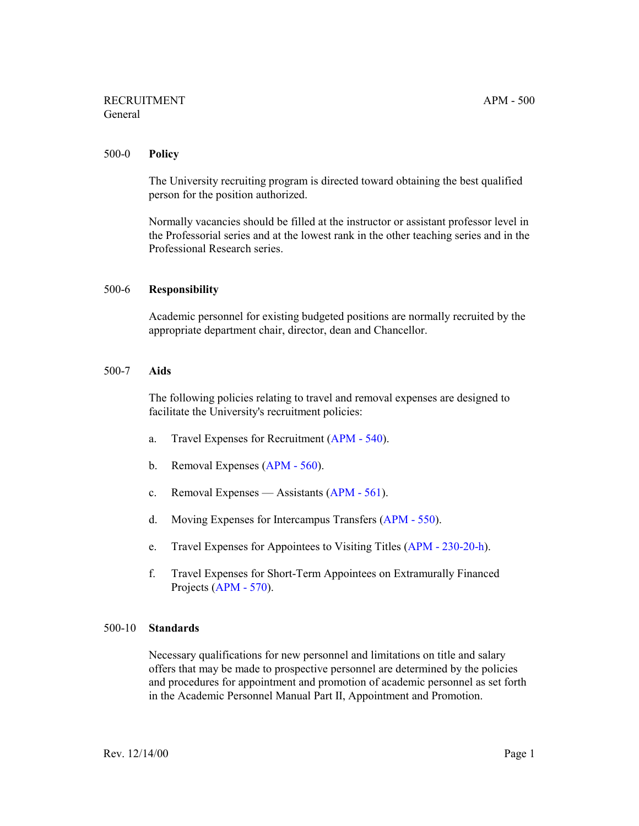# RECRUITMENT APM - 500 General

### 500-0 **Policy**

The University recruiting program is directed toward obtaining the best qualified person for the position authorized.

Normally vacancies should be filled at the instructor or assistant professor level in the Professorial series and at the lowest rank in the other teaching series and in the Professional Research series.

### 500-6 **Responsibility**

Academic personnel for existing budgeted positions are normally recruited by the appropriate department chair, director, dean and Chancellor.

### 500-7 **Aids**

The following policies relating to travel and removal expenses are designed to facilitate the University's recruitment policies:

- a. Travel Expenses for Recruitment [\(APM 540\)](http://ucop.edu/academic-personnel-programs/_files/apm/apm-540.pdf).
- b. Removal Expenses ([APM 560](http://ucop.edu/academic-personnel-programs/_files/apm/apm-560.pdf)).
- c. Removal Expenses Assistants [\(APM 561](http://ucop.edu/academic-personnel-programs/_files/apm/apm-561.pdf)).
- d. Moving Expenses for Intercampus Transfers [\(APM 550](http://ucop.edu/academic-personnel-programs/_files/apm/apm-550.pdf)).
- e. Travel Expenses for Appointees to Visiting Titles [\(APM 230-20-h\)](http://ucop.edu/academic-personnel-programs/_files/apm/apm-230.pdf).
- f. Travel Expenses for Short-Term Appointees on Extramurally Financed Projects ([APM - 570\)](http://ucop.edu/academic-personnel-programs/_files/apm/apm-570.pdf).

#### 500-10 **Standards**

Necessary qualifications for new personnel and limitations on title and salary offers that may be made to prospective personnel are determined by the policies and procedures for appointment and promotion of academic personnel as set forth in the Academic Personnel Manual Part II, Appointment and Promotion.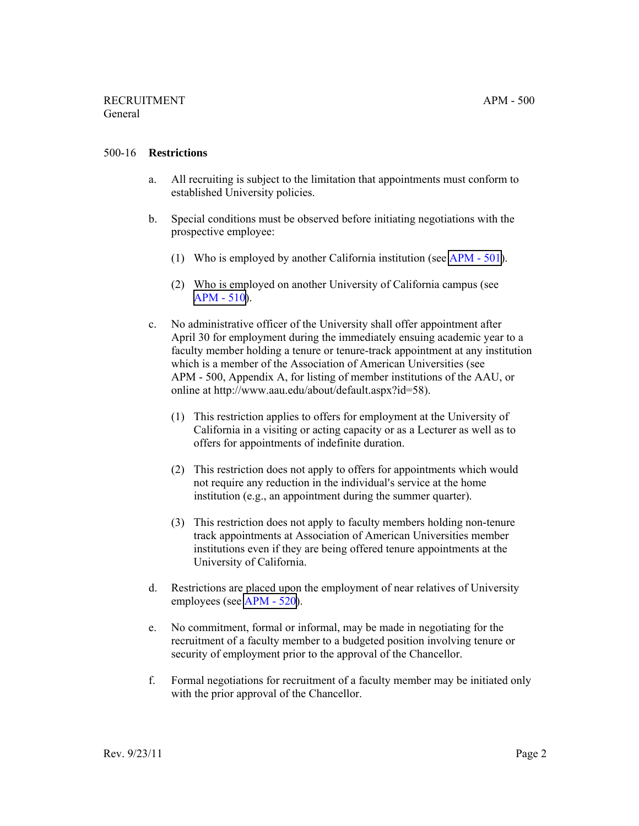## 500-16 **Restrictions**

- a. All recruiting is subject to the limitation that appointments must conform to established University policies.
- b. Special conditions must be observed before initiating negotiations with the prospective employee:
	- (1) Who is employed by another California institution (see [APM 501](http://ucop.edu/academic-personnel-programs/_files/apm/apm-501.pdf)).
	- (2) Who is employed on another University of California campus (see [APM - 510](http://ucop.edu/academic-personnel-programs/_files/apm/apm-510.pdf)).
- c. No administrative officer of the University shall offer appointment after April 30 for employment during the immediately ensuing academic year to a faculty member holding a tenure or tenure-track appointment at any institution which is a member of the Association of American Universities (see APM - 500, Appendix A, for listing of member institutions of the AAU, or online at http://www.aau.edu/about/default.aspx?id=58).
	- (1) This restriction applies to offers for employment at the University of California in a visiting or acting capacity or as a Lecturer as well as to offers for appointments of indefinite duration.
	- (2) This restriction does not apply to offers for appointments which would not require any reduction in the individual's service at the home institution (e.g., an appointment during the summer quarter).
	- (3) This restriction does not apply to faculty members holding non-tenure track appointments at Association of American Universities member institutions even if they are being offered tenure appointments at the University of California.
- d. Restrictions are placed upon the employment of near relatives of University employees (see [APM - 520\)](http://ucop.edu/academic-personnel-programs/_files/apm/apm-520.pdf).
- e. No commitment, formal or informal, may be made in negotiating for the recruitment of a faculty member to a budgeted position involving tenure or security of employment prior to the approval of the Chancellor.
- f. Formal negotiations for recruitment of a faculty member may be initiated only with the prior approval of the Chancellor.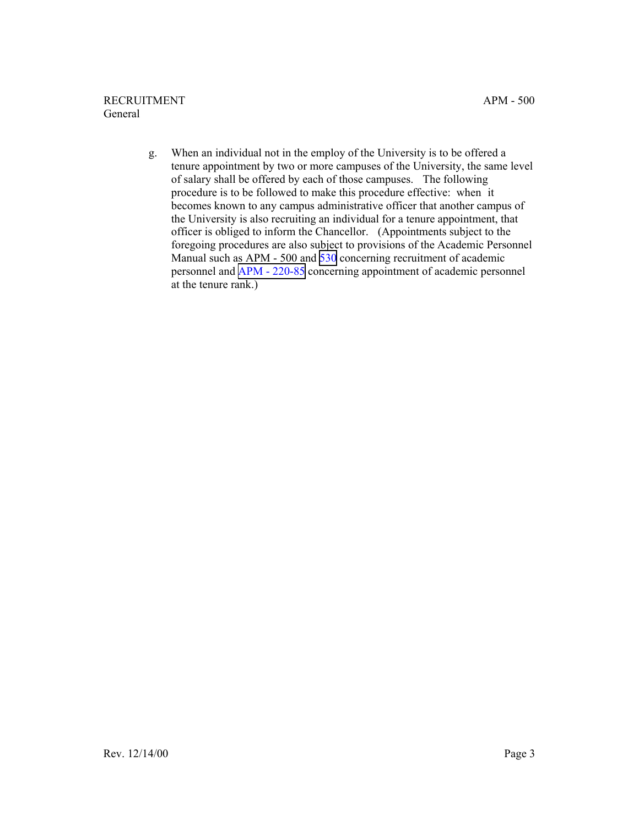g. When an individual not in the employ of the University is to be offered a tenure appointment by two or more campuses of the University, the same level of salary shall be offered by each of those campuses. The following procedure is to be followed to make this procedure effective: when it becomes known to any campus administrative officer that another campus of the University is also recruiting an individual for a tenure appointment, that officer is obliged to inform the Chancellor. (Appointments subject to the foregoing procedures are also subject to provisions of the Academic Personnel Manual such as APM - 500 and [530](http://ucop.edu/academic-personnel-programs/_files/apm/apm-530.pdf) concerning recruitment of academic personnel and [APM - 220-85](http://ucop.edu/academic-personnel-programs/_files/apm/apm-220.pdf) concerning appointment of academic personnel at the tenure rank.)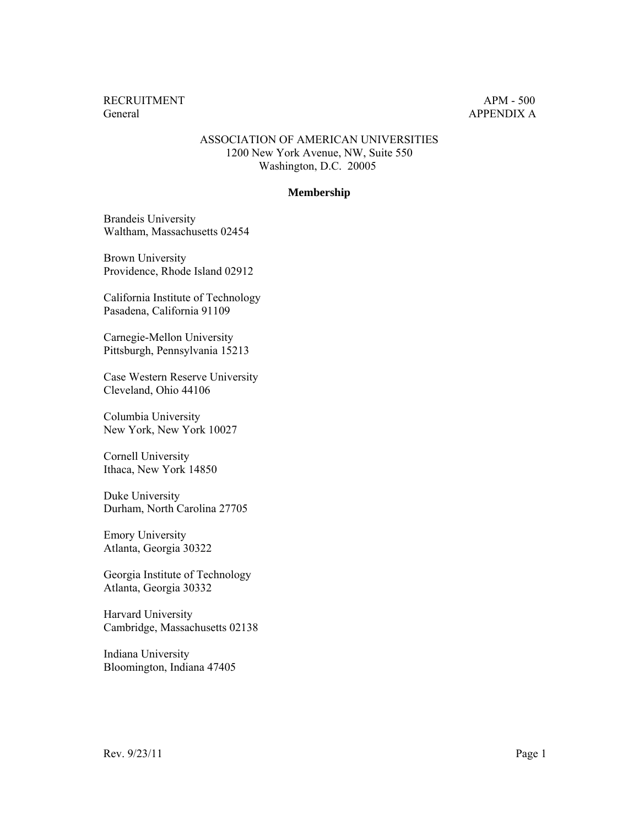## ASSOCIATION OF AMERICAN UNIVERSITIES 1200 New York Avenue, NW, Suite 550 Washington, D.C. 20005

#### **Membership**

Brandeis University Waltham, Massachusetts 02454

Brown University Providence, Rhode Island 02912

California Institute of Technology Pasadena, California 91109

Carnegie-Mellon University Pittsburgh, Pennsylvania 15213

Case Western Reserve University Cleveland, Ohio 44106

Columbia University New York, New York 10027

Cornell University Ithaca, New York 14850

Duke University Durham, North Carolina 27705

Emory University Atlanta, Georgia 30322

Georgia Institute of Technology Atlanta, Georgia 30332

Harvard University Cambridge, Massachusetts 02138

Indiana University Bloomington, Indiana 47405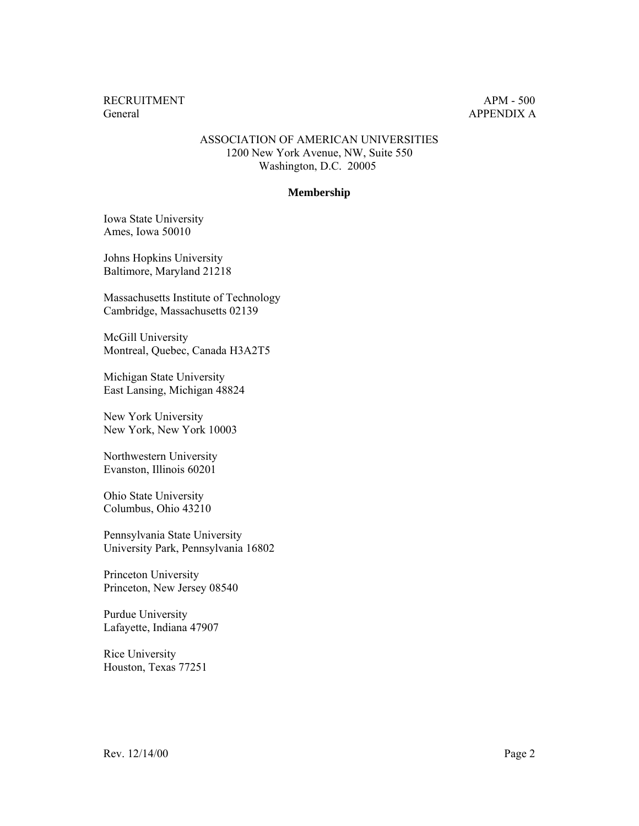## ASSOCIATION OF AMERICAN UNIVERSITIES 1200 New York Avenue, NW, Suite 550 Washington, D.C. 20005

#### **Membership**

Iowa State University Ames, Iowa 50010

Johns Hopkins University Baltimore, Maryland 21218

Massachusetts Institute of Technology Cambridge, Massachusetts 02139

McGill University Montreal, Quebec, Canada H3A2T5

Michigan State University East Lansing, Michigan 48824

New York University New York, New York 10003

Northwestern University Evanston, Illinois 60201

Ohio State University Columbus, Ohio 43210

Pennsylvania State University University Park, Pennsylvania 16802

Princeton University Princeton, New Jersey 08540

Purdue University Lafayette, Indiana 47907

Rice University Houston, Texas 77251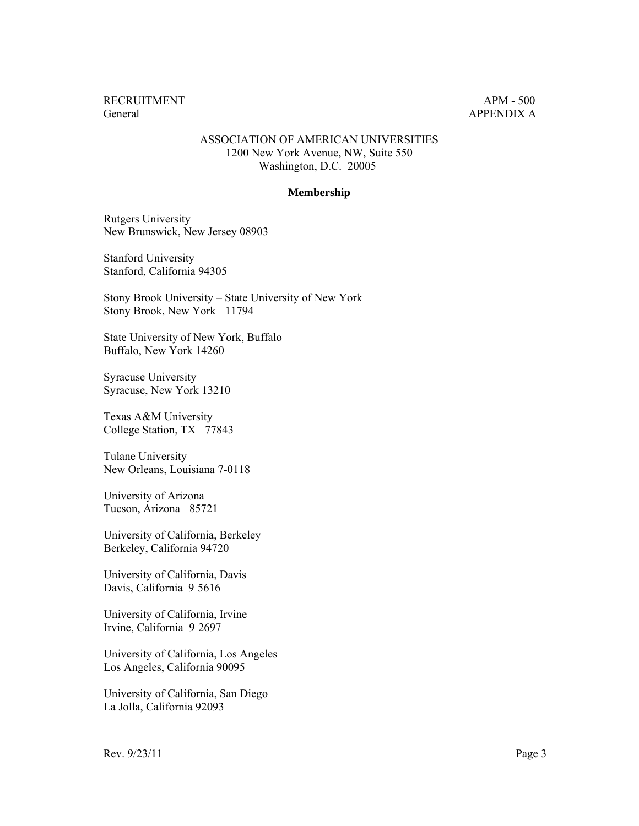## ASSOCIATION OF AMERICAN UNIVERSITIES 1200 New York Avenue, NW, Suite 550 Washington, D.C. 20005

#### **Membership**

Rutgers University New Brunswick, New Jersey 08903

Stanford University Stanford, California 94305

Stony Brook University – State University of New York Stony Brook, New York 11794

State University of New York, Buffalo Buffalo, New York 14260

Syracuse University Syracuse, New York 13210

Texas A&M University College Station, TX 77843

Tulane University New Orleans, Louisiana 7-0118

University of Arizona Tucson, Arizona 85721

University of California, Berkeley Berkeley, California 94720

University of California, Davis Davis, California 9 5616

University of California, Irvine Irvine, California 9 2697

University of California, Los Angeles Los Angeles, California 90095

University of California, San Diego La Jolla, California 92093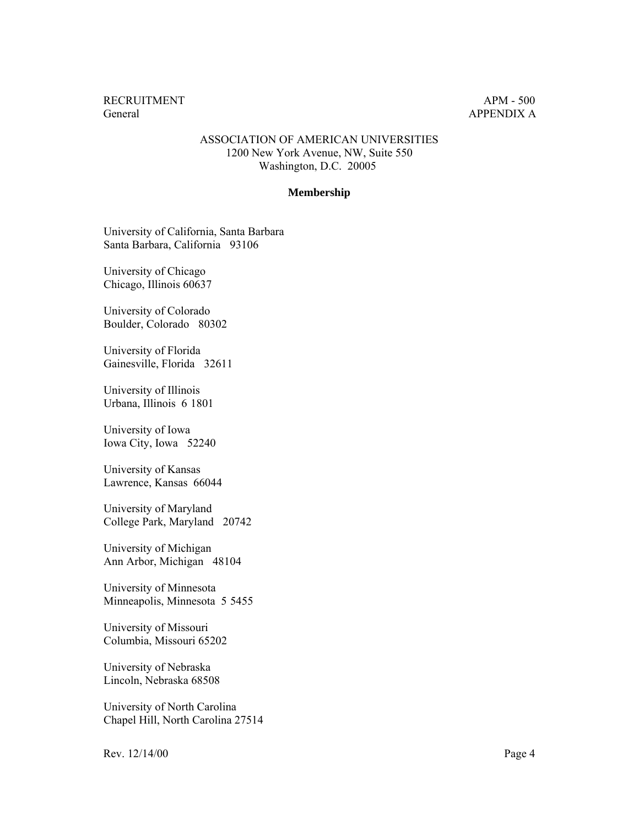### ASSOCIATION OF AMERICAN UNIVERSITIES 1200 New York Avenue, NW, Suite 550 Washington, D.C. 20005

#### **Membership**

University of California, Santa Barbara Santa Barbara, California 93106

University of Chicago Chicago, Illinois 60637

University of Colorado Boulder, Colorado 80302

University of Florida Gainesville, Florida 32611

University of Illinois Urbana, Illinois 6 1801

University of Iowa Iowa City, Iowa 52240

University of Kansas Lawrence, Kansas 66044

University of Maryland College Park, Maryland 20742

University of Michigan Ann Arbor, Michigan 48104

University of Minnesota Minneapolis, Minnesota 5 5455

University of Missouri Columbia, Missouri 65202

University of Nebraska Lincoln, Nebraska 68508

University of North Carolina Chapel Hill, North Carolina 27514

Rev. 12/14/00 Page 4